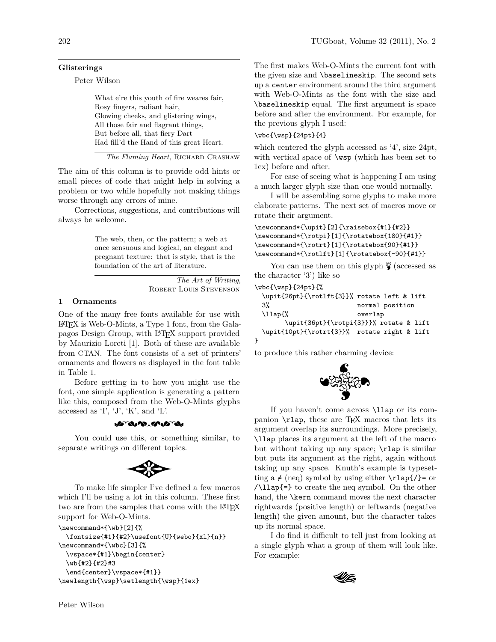## **Glisterings**

Peter Wilson

What e're this youth of fire weares fair, Rosy fingers, radiant hair, Glowing cheeks, and glistering wings, All those fair and flagrant things, But before all, that fiery Dart Had fill'd the Hand of this great Heart.

*The Flaming Heart*, Richard Crashaw

The aim of this column is to provide odd hints or small pieces of code that might help in solving a problem or two while hopefully not making things worse through any errors of mine.

Corrections, suggestions, and contributions will always be welcome.

> The web, then, or the pattern; a web at once sensuous and logical, an elegant and pregnant texture: that is style, that is the foundation of the art of literature.

> > *The Art of Writing*, Robert Louis Stevenson

## **1 Ornaments**

One of the many free fonts available for use with LATEX is Web-O-Mints, a Type 1 font, from the Galapagos Design Group, with LATEX support provided by Maurizio Loreti [1]. Both of these are available from CTAN. The font consists of a set of printers' ornaments and flowers as displayed in the font table in Table 1.

Before getting in to how you might use the font, one simple application is generating a pattern like this, composed from the Web-O-Mints glyphs accessed as 'I', 'J', 'K', and 'L'.



You could use this, or something similar, to separate writings on different topics.



To make life simpler I've defined a few macros which I'll be using a lot in this column. These first two are from the samples that come with the LATEX support for Web-O-Mints.

```
\newcommand*{\wb}[2]{%
 \frac{#1}{#2}\use{U}{webo}{x1}{n}\newcommand*{\wbc}[3]{%
  \vspace*{#1}\begin{center}
  \wb{#2}{#2}#3
  \end{center}\vspace*{#1}}
\newlength{\wsp}\setlength{\wsp}{1ex}
```
The first makes Web-O-Mints the current font with the given size and \baselineskip. The second sets up a center environment around the third argument with Web-O-Mints as the font with the size and \baselineskip equal. The first argument is space before and after the environment. For example, for the previous glyph I used:

## \wbc{\wsp}{24pt}{4}

which centered the glyph accessed as '4', size 24pt, with vertical space of \wsp (which has been set to 1ex) before and after.

For ease of seeing what is happening I am using a much larger glyph size than one would normally.

I will be assembling some glyphs to make more elaborate patterns. The next set of macros move or rotate their argument.

\newcommand\*{\upit}[2]{\raisebox{#1}{#2}} \newcommand\*{\rotpi}[1]{\rotatebox{180}{#1}} \newcommand\*{\rotrt}[1]{\rotatebox{90}{#1}} \newcommand\*{\rotlft}[1]{\rotatebox{-90}{#1}}

You can use them on this glyph  $\frac{8}{9}$  (accessed as the character '3') like so

```
\wbc{\wsp}{24pt}{%
```

```
\upit{26pt}{\rotlft{3}}% rotate left & lift
 3% normal position
 \llap{% overlap
      \upit{36pt}{\rotpi{3}}}% rotate & lift
 \upit{10pt}{\rotrt{3}}% rotate right & lift
}
```
to produce this rather charming device:



If you haven't come across \llap or its companion \rlap, these are TEX macros that lets its argument overlap its surroundings. More precisely, \llap places its argument at the left of the macro but without taking up any space; \rlap is similar but puts its argument at the right, again without taking up any space. Knuth's example is typesetting a  $\neq$  (neq) symbol by using either  $\trian{1}{ap{}(-\text{er}$ /\llap{=} to create the neq symbol. On the other hand, the **\kern** command moves the next character rightwards (positive length) or leftwards (negative length) the given amount, but the character takes up its normal space.

I do find it difficult to tell just from looking at a single glyph what a group of them will look like. For example:

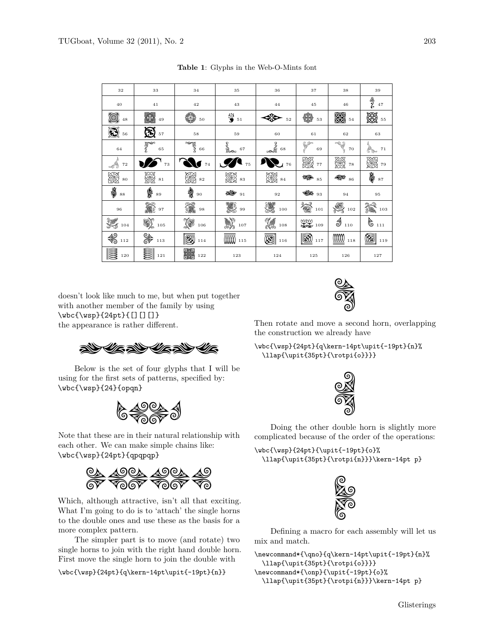| 32                   | $_{33}$                             | 34             | 35                           | 36                    | 37                                                                    | 38                   | 39                        |
|----------------------|-------------------------------------|----------------|------------------------------|-----------------------|-----------------------------------------------------------------------|----------------------|---------------------------|
| 40                   | 41                                  | 42             | 43                           | 44                    | 45                                                                    | 46                   | త్తి<br>గ<br>$4\,7$       |
| 0<br>48              | X<br>49                             | 48<br>50       | $\frac{35}{9}$ 51            | 52                    | 48<br>53                                                              | 缀<br>54              | ▧<br>55                   |
| (N<br>56             | $\boldsymbol{\mathbb{S}}$<br>$5\,7$ | 58             | 59                           | 60                    | 61                                                                    | 62                   | 63                        |
| 64                   | <b>PARA</b><br>$\bf65$              | <b>PERS</b> 66 | s<br>Samo<br>67              | $rac{2}{\sqrt{2}}$ 68 | 69                                                                    | $\rightarrow$<br>70  | $7\,1$                    |
| -18<br>72            | 73                                  | $\!\!74$       | $\overline{\bullet}$ $_{75}$ | $\sum$ 76             | 躑<br>77                                                               | <b>ESTER</b><br>78   | 纝<br>79                   |
| 躑<br>80              | ▒<br>81                             | ▒<br>82        | ▒ **                         | ▒<br>84               | Đ<br>85                                                               | $\mathbb{R}$ $_{86}$ | $\psi$ 87                 |
| $\text{\AA}$ $^{88}$ | ≸<br>89                             | 复<br>$90\,$    | $\frac{1}{2}$ 91             | $\bf{92}$             | $\mathscr{U}_{\mathscr{F}}$ 93                                        | 94                   | 95                        |
| $_{\rm 96}$          | 編<br>97                             | 鑼<br>98        | 體 99                         | 3<br>100              | な<br>101                                                              | Š,<br>102            | G<br>$\frac{2}{3}$<br>103 |
| 爨<br>104             | 90),<br>105                         | Y.<br>106      | <b>A)</b><br>107             | Y#<br>$108\,$         | $\begin{array}{c}\n\text{WW} \\ \text{WW} \\ \text{109}\n\end{array}$ | 1<br>110             | $6_{111}$                 |
| €<br>112             | &<br>P<br>113                       | BI<br>114      | <b>0000</b> 115              | œi<br>116             | M<br>117                                                              | mm<br>118            | ⊠<br>119                  |
| B<br>120             | ▩<br>121                            | ▓<br>122       | 123                          | 124                   | 125                                                                   | 126                  | 127                       |

**Table 1**: Glyphs in the Web-O-Mints font

doesn't look like much to me, but when put together with another member of the family by using \wbc{\wsp}{24pt}{[][][]} the appearance is rather different.

 $\mathscr{H}$  and  $\mathscr{H}$  and  $\mathscr{H}$ 

Below is the set of four glyphs that I will be using for the first sets of patterns, specified by: \wbc{\wsp}{24}{opqn}



Note that these are in their natural relationship with each other. We can make simple chains like: \wbc{\wsp}{24pt}{qpqpqp}



Which, although attractive, isn't all that exciting. What I'm going to do is to 'attach' the single horns to the double ones and use these as the basis for a more complex pattern.

The simpler part is to move (and rotate) two single horns to join with the right hand double horn. First move the single horn to join the double with

\wbc{\wsp}{24pt}{q\kern-14pt\upit{-19pt}{n}}



Then rotate and move a second horn, overlapping the construction we already have

\wbc{\wsp}{24pt}{q\kern-14pt\upit{-19pt}{n}% \llap{\upit{35pt}{\rotpi{o}}}}



Doing the other double horn is slightly more complicated because of the order of the operations:

```
\wbc{\wsp}{24pt}{\upit{-19pt}{o}%
 \llap{\upit{35pt}{\rotpi{n}}}\kern-14pt p}
```


Defining a macro for each assembly will let us mix and match.

\newcommand\*{\qno}{q\kern-14pt\upit{-19pt}{n}% \llap{\upit{35pt}{\rotpi{o}}}} \newcommand\*{\onp}{\upit{-19pt}{o}% \llap{\upit{35pt}{\rotpi{n}}}\kern-14pt p}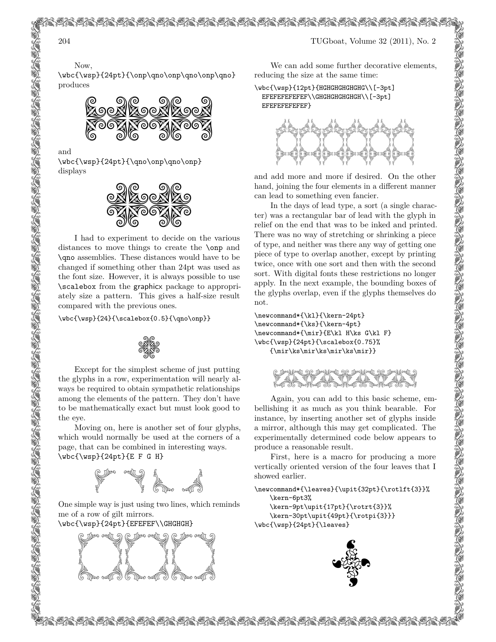Now,

\wbc{\wsp}{24pt}{\onp\qno\onp\qno\onp\qno} produces



and

\wbc{\wsp}{24pt}{\qno\onp\qno\onp} displays



I had to experiment to decide on the various distances to move things to create the \onp and \qno assemblies. These distances would have to be changed if something other than 24pt was used as the font size. However, it is always possible to use \scalebox from the graphicx package to appropriately size a pattern. This gives a half-size result compared with the previous ones.

\wbc{\wsp}{24}{\scalebox{0.5}{\qno\onp}}



Except for the simplest scheme of just putting the glyphs in a row, experimentation will nearly always be required to obtain sympathetic relationships among the elements of the pattern. They don't have to be mathematically exact but must look good to the eye.

Moving on, here is another set of four glyphs, which would normally be used at the corners of a page, that can be combined in interesting ways. \wbc{\wsp}{24pt}{E F G H}



One simple way is just using two lines, which reminds me of a row of gilt mirrors.

\wbc{\wsp}{24pt}{EFEFEF\\GHGHGH}

e)

kko<br>akti

kko<br>ak

kko<br>kko

kko<br>kko

kko<br>akti

kko<br>ak

kko<br>ak

kko<br>kko

kko<br>akti

kko<br>ak

kko<br>ak

kko<br>kko

 $\mathbb{R}$ 

kko<br>ak

kko<br>ak

kko<br>kko

kko<br>kko

kko<br>akti

kko<br>ak

kko<br>kko

kko<br>kko

kko<br>akti

kko<br>ak

kko<br>kko

kko<br>kko

kko<br>akti

kko<br>ak

kko<br>kko

kko<br>kko

kko<br>akti

**kka 194** 

e)

e),

e)

e)

e)

e),

e)

e)

e)

e),

e),

e)

e)

e),

e),

e)

e)

e),

e),

e)

e)

e)

e),

e)

e)

e)

e),

e)

e)



ifgfgfgfgfgfgfgfgfgfgfgfgfgfgfgfgfgfgfgfgfg

We can add some further decorative elements, reducing the size at the same time:

\wbc{\wsp}{12pt}{HGHGHGHGHGHG\\[-3pt] EFEFEFEFEFEF\\GHGHGHGHGHGH\\[-3pt] EFEFEFEFEFEF}

fgfgfgfgfgfgfgfgfgfgfgfgfgfgfgfgfgfgfgfgfg l



and add more and more if desired. On the other hand, joining the four elements in a different manner can lead to something even fancier.

In the days of lead type, a sort (a single character) was a rectangular bar of lead with the glyph in relief on the end that was to be inked and printed. There was no way of stretching or shrinking a piece of type, and neither was there any way of getting one piece of type to overlap another, except by printing twice, once with one sort and then with the second sort. With digital fonts these restrictions no longer apply. In the next example, the bounding boxes of the glyphs overlap, even if the glyphs themselves do not.

\newcommand\*{\kl}{\kern-24pt} \newcommand\*{\ks}{\kern-4pt} \newcommand\*{\mir}{E\kl H\ks G\kl F} \wbc{\wsp}{24pt}{\scalebox{0.75}% {\mir\ks\mir\ks\mir\ks\mir}}

| CENTRAL DE CONTRACTOR |  |
|-----------------------|--|

Again, you can add to this basic scheme, embellishing it as much as you think bearable. For instance, by inserting another set of glyphs inside a mirror, although this may get complicated. The experimentally determined code below appears to produce a reasonable result.

First, here is a macro for producing a more vertically oriented version of the four leaves that I showed earlier.

\newcommand\*{\leaves}{\upit{32pt}{\rotlft{3}}% \kern-6pt3% \kern-9pt\upit{17pt}{\rotrt{3}}%

\kern-30pt\upit{49pt}{\rotpi{3}}} \wbc{\wsp}{24pt}{\leaves}